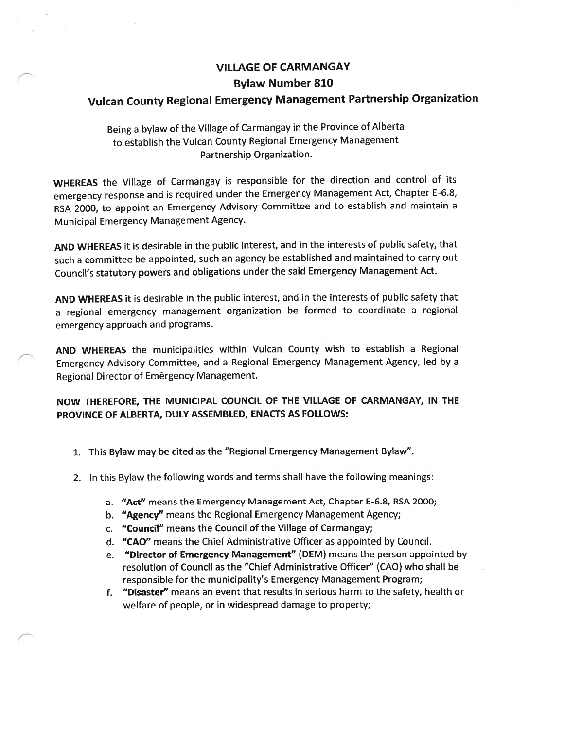## VILLAGE OF CARMANGAY Bylaw Number \$10

## Vulcan County Regional Emergency Management Partnership Organization

Being <sup>a</sup> bylaw of the Village of Carmangay in the Province of Alberta to establish the Vulcan County Regional Emergency Management Partnership Organization.

WHEREAS the Village of Carmangay is responsible for the direction and control of its emergency response and is required under the Emergency Management Act, Chapter E-6.8, RSA 2000, to appoint an Emergency Advisory Committee and to establish and maintain <sup>a</sup> Municipal Emergency Management Agency.

AND WHEREAS it is desirable in the public interest, and in the interests of public safety, that such <sup>a</sup> committee be appointed, such an agency be established and maintained to carry out Council's statutory powers and obligations under the said Emergency Management Act.

AND WHEREAS it is desirable in the public interest, and in the interests of public safety that <sup>a</sup> regional emergency management organization be formed to coordinate <sup>a</sup> regional emergency approach and programs.

AND WHEREAS the municipalities within Vulcan County wish to establish a Regional Emergency Advisory Committee, and a Regional Emergency Management Agency, led by <sup>a</sup> Regional Director of Emergency Management.

NOW THEREFORE, THE MUNICIPAL COUNCIL OF THE VILLAGE OF CARMANGAY, IN THE PROVINCE OF ALBERTA, DULY ASSEMBLED, ENACTS AS FOLLOWS:

- 1. This Bylaw may be cited as the "Regional Emergency Management Bylaw".
- 2. In this Bylaw the following words and terms shall have the following meanings:
	- a. "Act" means the Emergency Management Act, Chapter E-6.8, RSA 2000;
	- b. "Agency" means the Regional Emergency Management Agency;
	- c. "Council" means the Council of the Village of Carmangay;
	- d. "CAO" means the Chief Administrative Officer as appointed by Council.
	- e. "Director of Emergency Management" (DEM) means the person appointed by resolution of Council as the "Chief Administrative Officer" (CAO) who shall be responsible for the municipality's Emergency Management Program;
	- f. "Disaster" means an event that results in serious harm to the safety, health or welfare of people, or in widespread damage to property;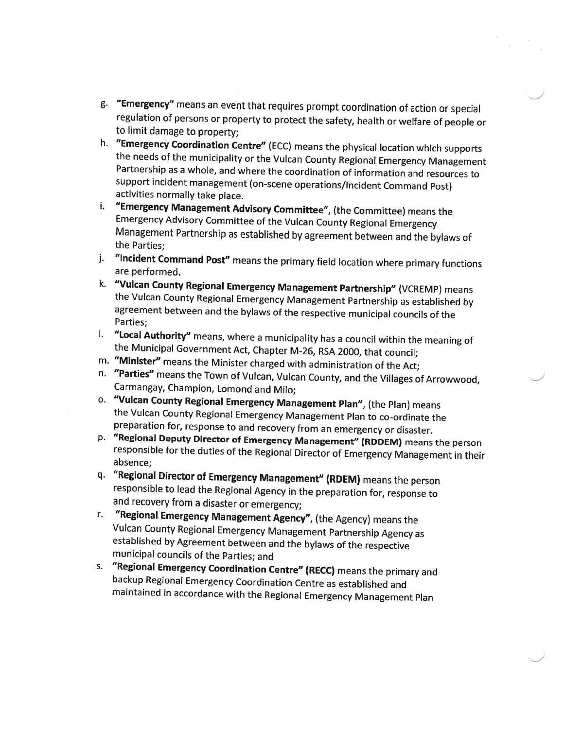- g. "Emergency" means an event that requires prompt coordination of action or special regulation of persons or property to protect the safety, health or welfare of people or to limit damage to property;
- h. "Emergency Coordination Centre" (ECC) means the physical location which supports the needs of the municipality or the Vulcan County Regional Emergency Management Partnership as <sup>a</sup> whole, and where the coordination of information and resources to support incident management (on-scene operations/Incident Command Post) activities normally take <sup>p</sup>lace.
- i. "Emergency Management Advisory Committee", (the Committee) means the Emergency Advisory Committee of the Vulcan County Regional Emergency Management Partnership as established by agreement between and the bylaws of the Parties;
- j. "Incident Command Post" means the primary field location where primary functions are performed.
- k. "Vulcan County Regional Emergency Management Partnership" (VCREMP) means the Vulcan County Regional Emergency Management Partnership as established by agreement between and the bylaws of the respective municipal councils of the Parties;
- I. "Local Authority" means, where <sup>a</sup> municipality has <sup>a</sup> council within the meaning of the Municipal Government Act, Chapter M-26, RSA 2000, that council;
- m. "Minister" means the Minister charged with administration of the Act;
- n. "Parties" means the Town of Vulcan, Vulcan County, and the Villages of Arrowwood, Carmangay, Champion, Lomond and Milo;
- o. "Vulcan County Regional Emergency Management Plan", (the Plan) means the Vulcan County Regional Emergency Management Plan to co-ordinate the preparation for, response to and recovery from an emergency or disaster.
- p. "Regional Deputy Director of Emergency Management" (RDDEM) means the person responsible for the duties of the Regional Director of Emergency Management in their absence;
- q. "Regional Director of Emergency Management" fRDEM) means the person responsible to lead the Regional Agency in the preparation for, response to and recovery from <sup>a</sup> disaster or emergency;
- r. "Regional Emergency Management Agency", (the Agency) means the Vulcan County Regional Emergency Management Partnership Agency as established by Agreement between and the bylaws of the respective municipal councils of the Parties; and
- s. "Regional Emergency Coordination Centre" (RECC) means the primary and backup Regional Emergency Coordination Centre as established and maintained in accordance with the Regional Emergency Management Plan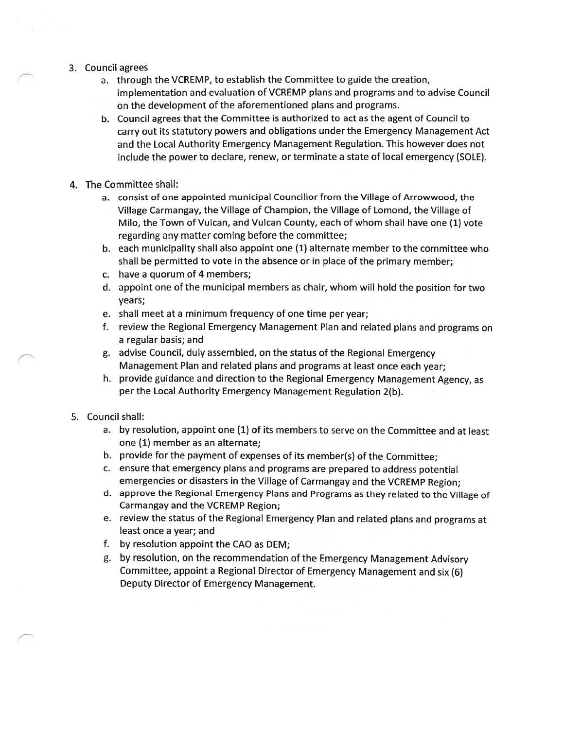- 3. Council agrees
	- a. through the VCREMP, to establish the Committee to guide the creation, implementation and evaluation of VCREMP plans and programs and to advise Council on the development of the aforementioned plans and programs.
	- b. Council agrees that the Committee is authorized to act as the agent of Council to carry out its statutory powers and obligations under the Emergency Management Act and the Local Authority Emergency Management Regulation. This however does not include the power to declare, renew, or terminate a state of local emergency (SOLE).
- 4. The Committee shall:
	- a. consist of one appointed municipal Councillor from the Village of Arrowwood, the Village Carmangay, the Village of Champion, the Village of Lomond, the Village of Milo, the Town of Vulcan, and Vulcan County, each of whom shall have one (1) vote regarding any matter coming before the committee;
	- b. each municipality shall also appoint one (1) alternate member to the committee who shall be permitted to vote in the absence or in place of the primary member;
	- c. have a quorum of 4 members;
	- d. appoint one of the municipal members as chair, whom will hold the position for two years;
	- e. shall meet at a minimum frequency of one time per year;
	- f. review the Regional Emergency Management Plan and related plans and programs on a regular basis; and
	- g. advise Council, duly assembled, on the status of the Regional Emergency Management Plan and related plans and programs at least once each year;
	- h. provide guidance and direction to the Regional Emergency Management Agency, as per the Local Authority Emergency Management Regulation 2(b).
- 5. Council shall:
	- a. by resolution, appoint one (1) of its members to serve on the Committee and at least one (1) member as an alternate;
	- b. provide for the payment of expenses of its member(s) of the Committee;
	- c. ensure that emergency plans and programs are prepared to address potential emergencies or disasters in the Village of Carmangay and the VCREMP Region;
	- d. approve the Regional Emergency Plans and Programs as they related to the Village of Carmangay and the VCREMP Region;
	- e. review the status of the Regional Emergency Plan and related plans and programs at least once a year; and
	- f. by resolution appoint the CAO as DEM;
	- g. by resolution, on the recommendation of the Emergency Management Advisory Committee, appoint <sup>a</sup> Regional Director of Emergency Management and six (6) Deputy Director of Emergency Management.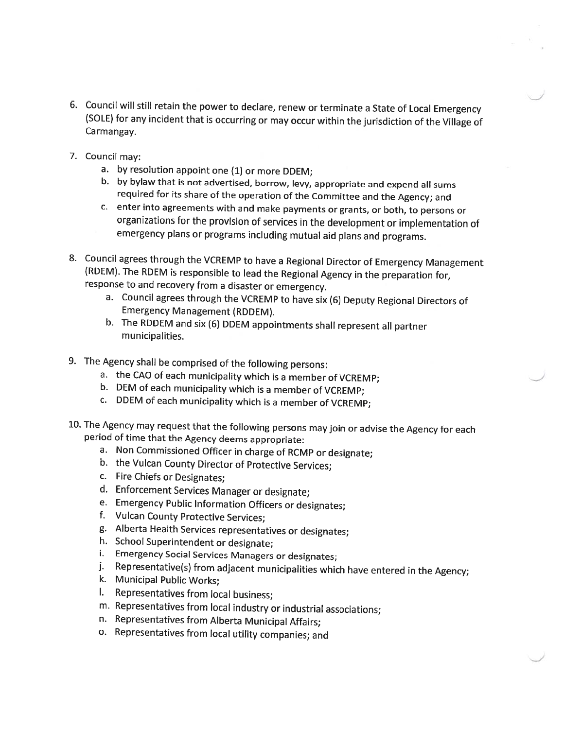- 6. Council will still retain the power to declare, renew or terminate <sup>a</sup> State of Local Emergency (SOLE) for any incident that is occurring or may occur within the jurisdiction of the Village of Carmangay.
- 7. Council may:
	- a. by resolution appoint one (1) or more DDEM;
	- b. by bylaw that is not advertised, borrow, levy, appropriate and expend all sums required for its share of the operation of the Committee and the Agency; and
	- c. enter into agreements with and make payments or grants, or both, to persons or organizations for the provision of services in the development or implementation ot emergency <sup>p</sup>lans or programs including mutual aid <sup>p</sup>lans and programs.
- 8. Council agrees through the VCREMP to have <sup>a</sup> Regional Director of Emergency Management (RDEM). The RDEM is responsible to lead the Regional Agency in the preparation for, response to and recovery from <sup>a</sup> disaster or emergency.
	- a. Council agrees through the VCREMP to have six (6) Deputy Regional Directors of Emergency Management (RDDEM).
	- b. The RDDEM and six (6) DDEM appointments shall represent all partner municipalities.
- 9. The Agency shall be comprised of the following persons:
	- a. the CAO of each municipality which is <sup>a</sup> member of VCREMP;
	- b. DEM of each municipality which is a member of VCREMP;
	- c. DDEM of each municipality which is <sup>a</sup> member of VCREMP;
- 10. The Agency may request that the following persons may join or advise the Agency for each period of time that the Agency deems appropriate:
	- a. Non Commissioned Officer in charge of RCMP or designate;
	- b. the Vulcan County Director of Protective Services;
	- c. Fire Chiefs or Designates;
	- d. Enforcement Services Manager or designate;
	- e. Emergency Public Information Officers or designates;
	- f. Vulcan County Protective Services;
	- g. Alberta Health Services representatives or designates;
	- h. School Superintendent or designate;
	- i. Emergency Social Services Managers or designates;
	- j. Representative(s) from adjacent municipalities which have entered in the Agency;
	- k. Municipal Public Works;
	- I. Representatives from local business;
	- m. Representatives from local industry or industrial associations;
	- n. Representatives from Alberta Municipal Affairs;
	- o. Representatives from local utility companies; and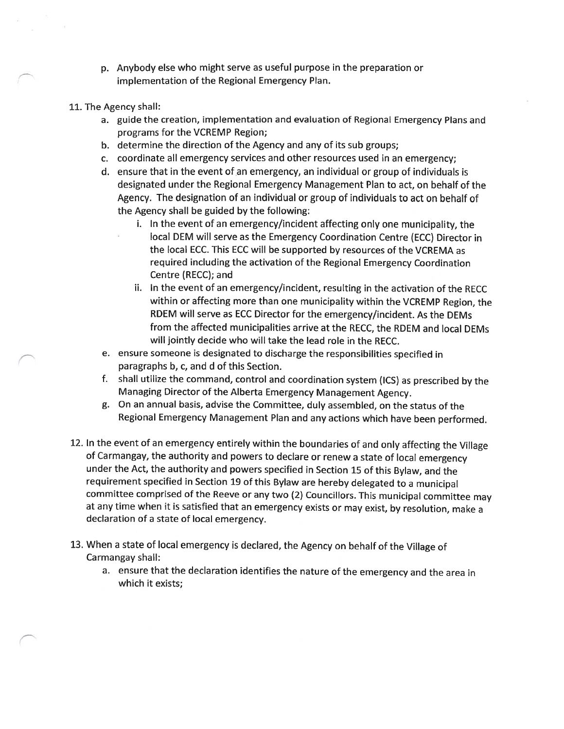- p. Anybody else who might serve as useful purpose in the preparation or implementation of the Regional Emergency Plan.
- 11. The Agency shall:
	- a. guide the creation, implementation and evaluation of Regional Emergency Plans and programs for the VCREMP Region;
	- b. determine the direction of the Agency and any of its sub groups;
	- c. coordinate all emergency services and other resources used in an emergency;
	- d. ensure that in the event of an emergency, an individual or group of individuals is designated under the Regional Emergency Management Plan to act, on behalf of the Agency. The designation of an individual or group of individuals to act on behalf of the Agency shall be guided by the following:
		- i. In the event of an emergency/incident affecting only one municipality, the local DEM will serve as the Emergency Coordination Centre (ECC) Director in the local ECC. This ECC will be supported by resources of the VCREMA as required including the activation of the Regional Emergency Coordination Centre (RECC); and
		- ii. In the event of an emergency/incident, resulting in the activation of the RECC within or affecting more than one municipality within the VCREMP Region, the RDEM will serve as ECC Director for the emergency/incident. As the DEMs from the affected municipalities arrive at the RECC, the RDEM and local DEMs will jointly decide who will take the lead role in the RECC.
	- e. ensure someone is designated to discharge the responsibilities specified in paragraphs b, c, and d of this Section.
	- f. shall utilize the command, control and coordination system (ICS) as prescribed by the Managing Director of the Alberta Emergency Management Agency.
	- g. On an annual basis, advise the Committee, duly assembled, on the status of the Regional Emergency Management Plan and any actions which have been performed.
- 12. In the event of an emergency entirely within the boundaries of and only affecting the Village of Carmangay, the authority and powers to declare or renew <sup>a</sup> state of local emergency under the Act, the authority and powers specified in Section <sup>15</sup> of this Bylaw, and the requirement specified in Section <sup>19</sup> of this Bylaw are hereby delegated to <sup>a</sup> municipal committee comprised of the Reeve or any two (2) Councillors. This municipal committee may at any time when it is satisfied that an emergency exists or may exist, by resolution, make <sup>a</sup> declaration of <sup>a</sup> state of local emergency.
- 13. When <sup>a</sup> state of local emergency is declared, the Agency on behalf of the Village of Carmangay shall:
	- a. ensure that the declaration identifies the nature of the emergency and the area in which it exists;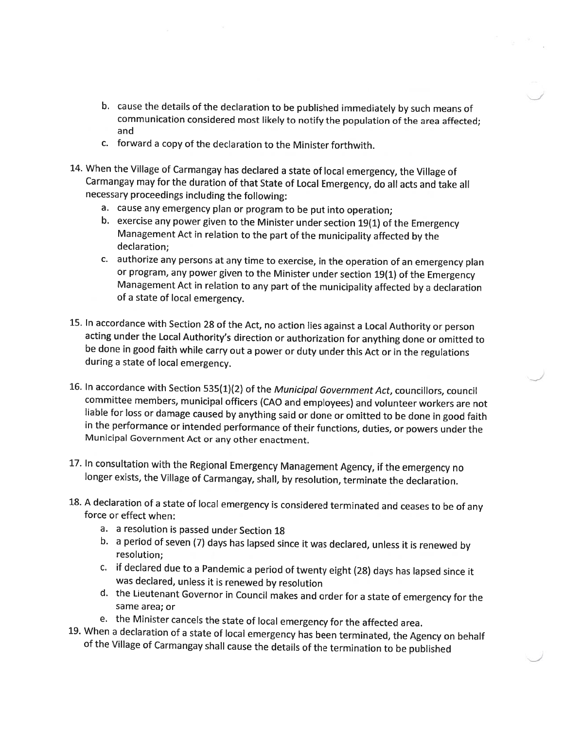- b. cause the details of the declaration to be published immediately by such means of communication considered most likely to notify the population of the area affected; and
- c. forward <sup>a</sup> copy of the declaration to the Minister forthwith.
- 14. When the Village of Carmangay has declared <sup>a</sup> state of local emergency, the Village of Carmangay may for the duration of that State of Local Emergency, do all acts and take all necessary proceedings including the following:
	- a. cause any emergency <sup>p</sup>lan or program to be put into operation;
	- b. exercise any power <sup>g</sup>iven to the Minister under section 19(1) of the Emergency Management Act in relation to the part of the municipality affected by the declaration;
	- c. authorize any persons at any time to exercise, in the operation of an emergency <sup>p</sup>lan or program, any power <sup>g</sup>iven to the Minister under section 19(1) of the Emergency Management Act in relation to any part of the municipality affected by <sup>a</sup> declaration of <sup>a</sup> state of local emergency.
- 15. In accordance with Section <sup>28</sup> of the Act, no action lies against <sup>a</sup> Local Authority or person acting under the Local Authority's direction or authorization for anything done or omitted to be done in good faith while carry out <sup>a</sup> power or duty under this Act or in the regulations during <sup>a</sup> state of local emergency.
- 16. In accordance with Section 535(1)(2) of the Municipal Government Act, councillors, council committee members, municipal officers (CAO and employees) and volunteer workers are not liable for loss or damage caused by anything said or done or omitted to be done in good faith in the performance or intended performance of their functions, duties, or powers under the Municipal Government Act or any other enactment.
- 17. In consultation with the Regional Emergency Management Agency, if the emergency no longer exists, the Village of Carmangay, shall, by resolution, terminate the declaration.
- 18. <sup>A</sup> declaration of <sup>a</sup> state of local emergency is considered terminated and ceases to be of any force or effect when:
	- a. <sup>a</sup> resolution is passed under Section 18
	- b. <sup>a</sup> period of seven (7) days has lapsed since it was declared, unless it is renewed by resolution;
	- c. if declared due to <sup>a</sup> Pandemic <sup>a</sup> period of twenty eight (28) days has lapsed since it was declared, unless it is renewed by resolution
	- d. the Lieutenant Governor in Council makes and order for <sup>a</sup> state of emergency for the same area; or
	- e. the Minister cancels the state of local emergency for the affected area.
- 19. When <sup>a</sup> declaration of <sup>a</sup> state of local emergency has been terminated, the Agency on behalf of the Village of Carmangay shall cause the details of the termination to be published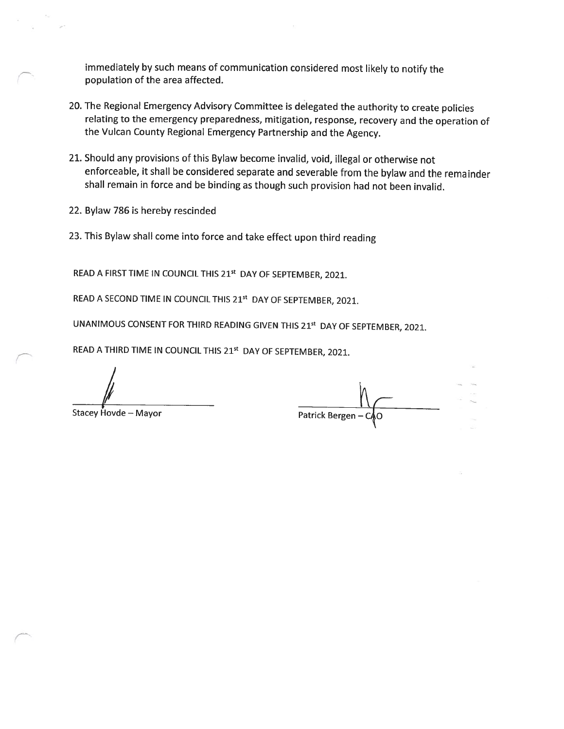immediately by such means of communication considered most likely to notify the population of the area affected.

- 20. The Regional Emergency Advisory Committee is delegated the authority to create policies relating to the emergency preparedness, mitigation, response, recovery and the operation of the Vulcan County Regional Emergency Partnership and the Agency.
- 21. Should any provisions of this Bylaw become invalid, void, illegal or otherwise not enforceable, it shall be considered separate and severable from the bylaw and the remainder shall remain in force and be binding as though such provision had not been invalid.
- 22. Bylaw 786 is hereby rescinded
- 23. This Bylaw shall come into force and take effect upon third reading

READ A FIRST TIME IN COUNCIL THIS 21<sup>st</sup> DAY OF SEPTEMBER, 2021.

READ A SECOND TIME IN COUNCIL THIS 21st DAY OF SEPTEMBER, 2021.

UNANIMOUS CONSENT FOR THIRD READING GIVEN THIS 215t DAY OF SEPTEMBER, 2021.

READ A THIRD TIME IN COUNCIL THIS 21<sup>st</sup> DAY OF SEPTEMBER, 2021.

Stacey Hovde – Mayor Patrick Bergen — Patrick Bergen — Patrick Bergen — Patrick Bergen — Patrick Bergen — Patrick Bergen — Patrick Bergen — Patrick Bergen — Patrick Bergen — Patrick Bergen — Patrick Bergen — Patrick Bergen

 $C_{\mathcal{T}}$